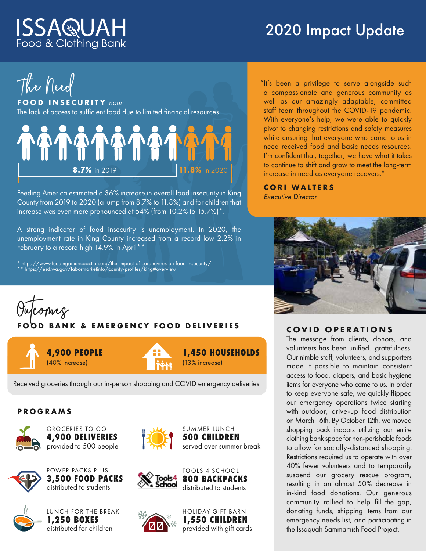## ISSA®UAH Food & Clothing Bank

# 2020 Impact Update

**The Need**

**F OOD INSECURITY** *noun* The lack of access to sufficient food due to limited financial resources



Feeding America estimated a 36% increase in overall food insecurity in King County from 2019 to 2020 (a jump from 8.7% to 11.8%) and for children that increase was even more pronounced at 54% (from 10.2% to 15.7%)\*.

A strong indicator of food insecurity is unemployment. In 2020, the unemployment rate in King County increased from a record low 2.2% in February to a record high 14.9% in April\*\*

\* https://www.feedingamericaaction.org/the-impact-of-coronavirus-on-food-insecurity/ \*\* https://esd.wa.gov/labormarketinfo/county-profiles/king#overview



**BANK & EMERGENCY FOOD DELIVERIES** 



Received groceries through our in-person shopping and COVID emergency deliveries

#### **PROGRAMS**



GROCERIES TO GO **4,900 DELIVERIES** provided to 500 people



POWER PACKS PLUS **3,500 FOOD PACKS** distributed to students



LUNCH FOR THE BREAK **1,250 BOXES** distributed for children











"It's been a privilege to serve alongside such a compassionate and generous community as well as our amazingly adaptable, committed staff team throughout the COVID-19 pandemic. With everyone's help, we were able to quickly pivot to changing restrictions and safety measures while ensuring that everyone who came to us in need received food and basic needs resources. I'm confident that, together, we have what it takes to continue to shift and grow to meet the long-term increase in need as everyone recovers."

#### **CORI WALTERS**

*Executive Director*



### **COVID OPERATIONS**

The message from clients, donors, and volunteers has been unified…gratefulness. Our nimble staff, volunteers, and supporters made it possible to maintain consistent access to food, diapers, and basic hygiene items for everyone who came to us. In order to keep everyone safe, we quickly flipped our emergency operations twice starting with outdoor, drive-up food distribution on March 16th. By October 12th, we moved shopping back indoors utilizing our entire clothing bank space for non-perishable foods to allow for socially-distanced shopping. Restrictions required us to operate with over 40% fewer volunteers and to temporarily suspend our grocery rescue program, resulting in an almost 50% decrease in in-kind food donations. Our generous community rallied to help fill the gap, donating funds, shipping items from our emergency needs list, and participating in the Issaquah Sammamish Food Project.